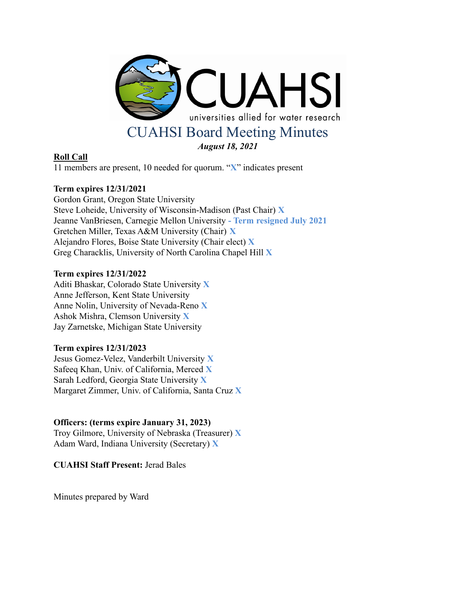

## **Roll Call**

11 members are present, 10 needed for quorum. "**X**" indicates present

# **Term expires 12/31/2021**

Gordon Grant, Oregon State University Steve Loheide, University of Wisconsin-Madison (Past Chair) **X** Jeanne VanBriesen, Carnegie Mellon University **- Term resigned July 2021** Gretchen Miller, Texas A&M University (Chair) **X** Alejandro Flores, Boise State University (Chair elect) **X** Greg Characklis, University of North Carolina Chapel Hill **X**

## **Term expires 12/31/2022**

Aditi Bhaskar, Colorado State University **X** Anne Jefferson, Kent State University Anne Nolin, University of Nevada-Reno **X** Ashok Mishra, Clemson University **X** Jay Zarnetske, Michigan State University

## **Term expires 12/31/2023**

Jesus Gomez-Velez, Vanderbilt University **X** Safeeq Khan, Univ. of California, Merced **X** Sarah Ledford, Georgia State University **X** Margaret Zimmer, Univ. of California, Santa Cruz **X**

## **Officers: (terms expire January 31, 2023)**

Troy Gilmore, University of Nebraska (Treasurer) **X** Adam Ward, Indiana University (Secretary) **X**

**CUAHSI Staff Present:** Jerad Bales

Minutes prepared by Ward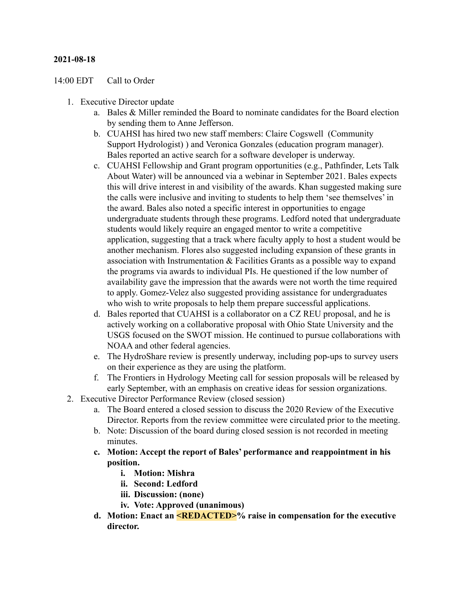#### **2021-08-18**

#### 14:00 EDT Call to Order

- 1. Executive Director update
	- a. Bales  $\&$  Miller reminded the Board to nominate candidates for the Board election by sending them to Anne Jefferson.
	- b. CUAHSI has hired two new staff members: Claire Cogswell (Community Support Hydrologist) ) and Veronica Gonzales (education program manager). Bales reported an active search for a software developer is underway.
	- c. CUAHSI Fellowship and Grant program opportunities (e.g., Pathfinder, Lets Talk About Water) will be announced via a webinar in September 2021. Bales expects this will drive interest in and visibility of the awards. Khan suggested making sure the calls were inclusive and inviting to students to help them 'see themselves' in the award. Bales also noted a specific interest in opportunities to engage undergraduate students through these programs. Ledford noted that undergraduate students would likely require an engaged mentor to write a competitive application, suggesting that a track where faculty apply to host a student would be another mechanism. Flores also suggested including expansion of these grants in association with Instrumentation & Facilities Grants as a possible way to expand the programs via awards to individual PIs. He questioned if the low number of availability gave the impression that the awards were not worth the time required to apply. Gomez-Velez also suggested providing assistance for undergraduates who wish to write proposals to help them prepare successful applications.
	- d. Bales reported that CUAHSI is a collaborator on a CZ REU proposal, and he is actively working on a collaborative proposal with Ohio State University and the USGS focused on the SWOT mission. He continued to pursue collaborations with NOAA and other federal agencies.
	- e. The HydroShare review is presently underway, including pop-ups to survey users on their experience as they are using the platform.
	- f. The Frontiers in Hydrology Meeting call for session proposals will be released by early September, with an emphasis on creative ideas for session organizations.
- 2. Executive Director Performance Review (closed session)
	- a. The Board entered a closed session to discuss the 2020 Review of the Executive Director. Reports from the review committee were circulated prior to the meeting.
	- b. Note: Discussion of the board during closed session is not recorded in meeting minutes.
	- **c. Motion: Accept the report of Bales' performance and reappointment in his position.**
		- **i. Motion: Mishra**
		- **ii. Second: Ledford**
		- **iii. Discussion: (none)**
		- **iv. Vote: Approved (unanimous)**
	- **d. Motion: Enact an <REDACTED>% raise in compensation for the executive director.**